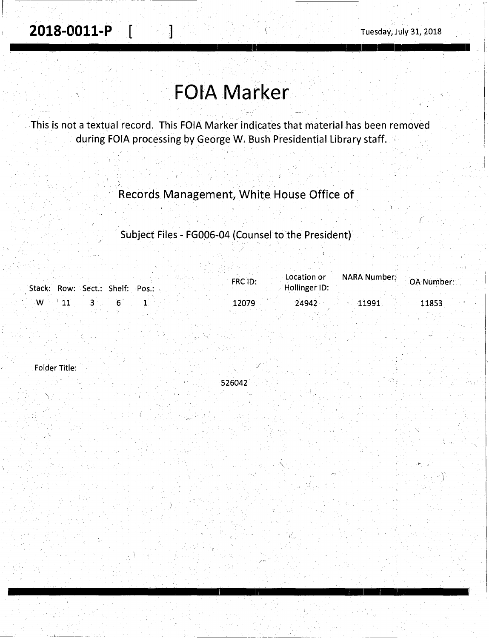2018-0011-P

## **FOIA Marker**

ł

This is not a textual record. This FOIA Marker indicates that material has been removed during FOIA processing by George W. Bush Presidential Library staff.

Records Management, White House Office of

Subject Files - FG006-04 (Counsel to the President)

| Stack: Row: Sect.: Shelf: Pos.: | Location or<br>FRC ID:<br>Hollinger ID: | " MARA Number: " OA Number: " |
|---------------------------------|-----------------------------------------|-------------------------------|
| $\mathbf{W}$ . The $\mathbf{W}$ | 12079<br>24942                          | 11991<br>11853                |

526042

Folder Title: